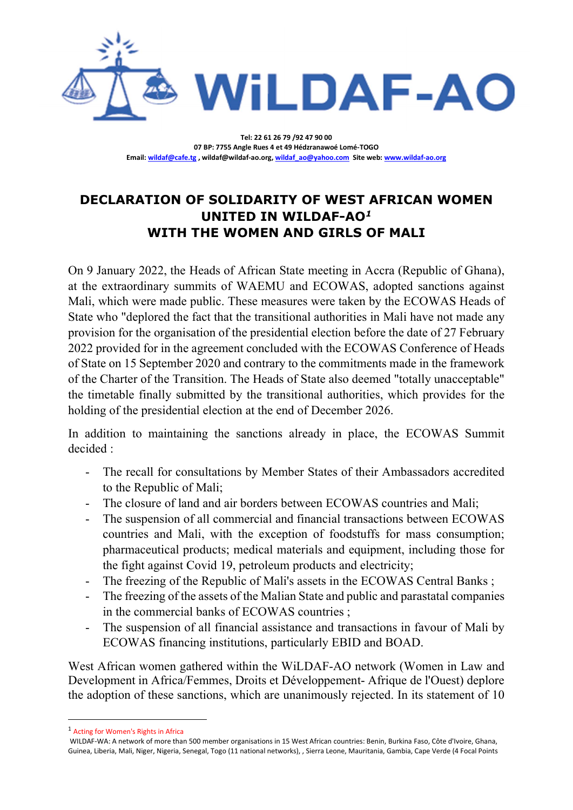

Tel: 22 61 26 79 /92 47 90 00 07 BP: 7755 Angle Rues 4 et 49 Hédzranawoé Lomé-TOGO Email: wildaf@cafe.tg , wildaf@wildaf-ao.org, wildaf\_ao@yahoo.com Site web: www.wildaf-ao.org

## DECLARATION OF SOLIDARITY OF WEST AFRICAN WOMEN UNITED IN WILDAF-AO<sup>1</sup> WITH THE WOMEN AND GIRLS OF MALI

On 9 January 2022, the Heads of African State meeting in Accra (Republic of Ghana), at the extraordinary summits of WAEMU and ECOWAS, adopted sanctions against Mali, which were made public. These measures were taken by the ECOWAS Heads of State who "deplored the fact that the transitional authorities in Mali have not made any provision for the organisation of the presidential election before the date of 27 February 2022 provided for in the agreement concluded with the ECOWAS Conference of Heads of State on 15 September 2020 and contrary to the commitments made in the framework of the Charter of the Transition. The Heads of State also deemed "totally unacceptable" the timetable finally submitted by the transitional authorities, which provides for the holding of the presidential election at the end of December 2026.

In addition to maintaining the sanctions already in place, the ECOWAS Summit decided :

- The recall for consultations by Member States of their Ambassadors accredited to the Republic of Mali;
- The closure of land and air borders between ECOWAS countries and Mali;
- The suspension of all commercial and financial transactions between ECOWAS countries and Mali, with the exception of foodstuffs for mass consumption; pharmaceutical products; medical materials and equipment, including those for the fight against Covid 19, petroleum products and electricity;
- The freezing of the Republic of Mali's assets in the ECOWAS Central Banks;
- The freezing of the assets of the Malian State and public and parastatal companies in the commercial banks of ECOWAS countries ;
- The suspension of all financial assistance and transactions in favour of Mali by ECOWAS financing institutions, particularly EBID and BOAD.

West African women gathered within the WiLDAF-AO network (Women in Law and Development in Africa/Femmes, Droits et Développement- Afrique de l'Ouest) deplore the adoption of these sanctions, which are unanimously rejected. In its statement of 10

<sup>1</sup> Acting for Women's Rights in Africa

WILDAF-WA: A network of more than 500 member organisations in 15 West African countries: Benin, Burkina Faso, Côte d'Ivoire, Ghana, Guinea, Liberia, Mali, Niger, Nigeria, Senegal, Togo (11 national networks), , Sierra Leone, Mauritania, Gambia, Cape Verde (4 Focal Points